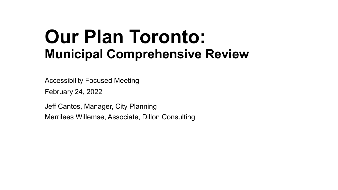#### **Our Plan Toronto: Municipal Comprehensive Review**

Accessibility Focused Meeting

February 24, 2022

Jeff Cantos, Manager, City Planning Merrilees Willemse, Associate, Dillon Consulting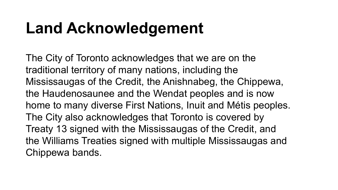### **Land Acknowledgement**

The City of Toronto acknowledges that we are on the traditional territory of many nations, including the Mississaugas of the Credit, the Anishnabeg, the Chippewa, the Haudenosaunee and the Wendat peoples and is now home to many diverse First Nations, Inuit and Métis peoples. The City also acknowledges that Toronto is covered by Treaty 13 signed with the Mississaugas of the Credit, and the Williams Treaties signed with multiple Mississaugas and Chippewa bands.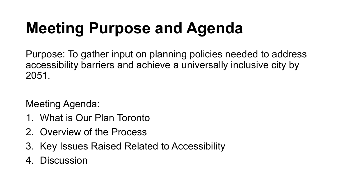# **Meeting Purpose and Agenda**

Purpose: To gather input on planning policies needed to address accessibility barriers and achieve a universally inclusive city by 2051.

Meeting Agenda:

- 1. What is Our Plan Toronto
- 2. Overview of the Process
- 3. Key Issues Raised Related to Accessibility
- 4. Discussion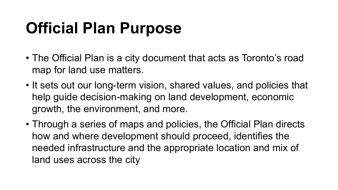### **Official Plan Purpose**

- The Official Plan is a city document that acts as Toronto's road map for land use matters.
- It sets out our long-term vision, shared values, and policies that help guide decision-making on land development, economic growth, the environment, and more.
- Through a series of maps and policies, the Official Plan directs how and where development should proceed, identifies the needed infrastructure and the appropriate location and mix of land uses across the city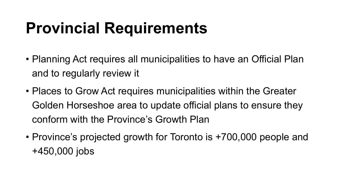### **Provincial Requirements**

- Planning Act requires all municipalities to have an Official Plan and to regularly review it
- Places to Grow Act requires municipalities within the Greater Golden Horseshoe area to update official plans to ensure they conform with the Province's Growth Plan
- Province's projected growth for Toronto is +700,000 people and +450,000 jobs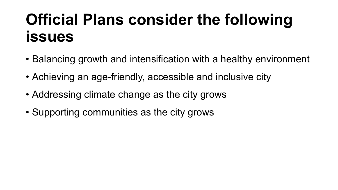#### **Official Plans consider the following issues**

- Balancing growth and intensification with a healthy environment
- Achieving an age-friendly, accessible and inclusive city
- Addressing climate change as the city grows
- Supporting communities as the city grows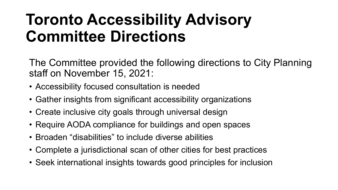#### **Toronto Accessibility Advisory Committee Directions**

The Committee provided the following directions to City Planning staff on November 15, 2021:

- Accessibility focused consultation is needed
- Gather insights from significant accessibility organizations
- Create inclusive city goals through universal design
- Require AODA compliance for buildings and open spaces
- Broaden "disabilities" to include diverse abilities
- Complete a jurisdictional scan of other cities for best practices
- Seek international insights towards good principles for inclusion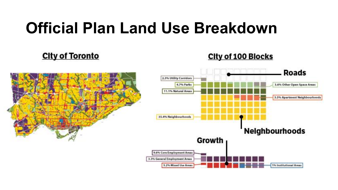#### **Official Plan Land Use Breakdown**

#### **City of Toronto**





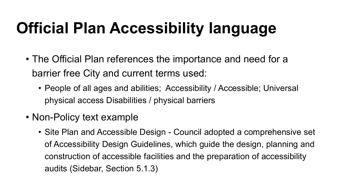## **Official Plan Accessibility language**

- The Official Plan references the importance and need for a barrier free City and current terms used:
	- People of all ages and abilities; Accessibility / Accessible; Universal physical access Disabilities / physical barriers
- Non-Policy text example
	- Site Plan and Accessible Design Council adopted a comprehensive set of Accessibility Design Guidelines, which guide the design, planning and construction of accessible facilities and the preparation of accessibility audits (Sidebar, Section 5.1.3)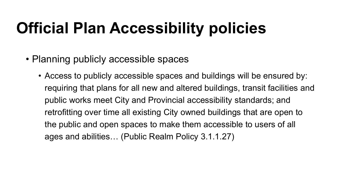## **Official Plan Accessibility policies**

- Planning publicly accessible spaces
	- Access to publicly accessible spaces and buildings will be ensured by: requiring that plans for all new and altered buildings, transit facilities and public works meet City and Provincial accessibility standards; and retrofitting over time all existing City owned buildings that are open to the public and open spaces to make them accessible to users of all ages and abilities… (Public Realm Policy 3.1.1.27)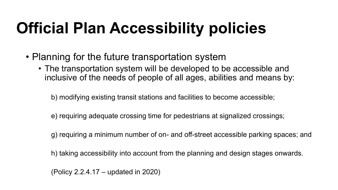## **Official Plan Accessibility policies**

- Planning for the future transportation system
	- The transportation system will be developed to be accessible and inclusive of the needs of people of all ages, abilities and means by:

b) modifying existing transit stations and facilities to become accessible;

- e) requiring adequate crossing time for pedestrians at signalized crossings;
- g) requiring a minimum number of on- and off-street accessible parking spaces; and
- h) taking accessibility into account from the planning and design stages onwards.

(Policy 2.2.4.17 – updated in 2020)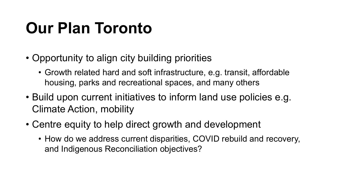### **Our Plan Toronto**

- Opportunity to align city building priorities
	- Growth related hard and soft infrastructure, e.g. transit, affordable housing, parks and recreational spaces, and many others
- Build upon current initiatives to inform land use policies e.g. Climate Action, mobility
- Centre equity to help direct growth and development
	- How do we address current disparities, COVID rebuild and recovery, and Indigenous Reconciliation objectives?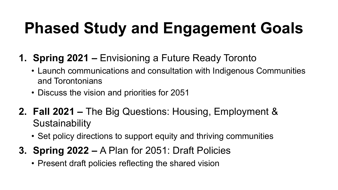# **Phased Study and Engagement Goals**

- **1. Spring 2021 –** Envisioning a Future Ready Toronto
	- Launch communications and consultation with Indigenous Communities and Torontonians
	- Discuss the vision and priorities for 2051
- **2. Fall 2021 –** The Big Questions: Housing, Employment & **Sustainability** 
	- Set policy directions to support equity and thriving communities
- **3. Spring 2022 –** A Plan for 2051: Draft Policies
	- Present draft policies reflecting the shared vision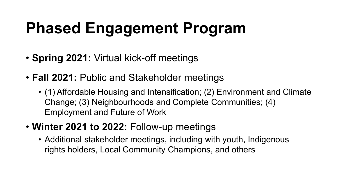## **Phased Engagement Program**

- **Spring 2021:** Virtual kick-off meetings
- **Fall 2021:** Public and Stakeholder meetings
	- (1) Affordable Housing and Intensification; (2) Environment and Climate Change; (3) Neighbourhoods and Complete Communities; (4) Employment and Future of Work
- **Winter 2021 to 2022:** Follow-up meetings
	- Additional stakeholder meetings, including with youth, Indigenous rights holders, Local Community Champions, and others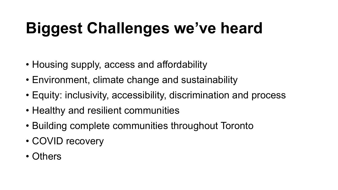# **Biggest Challenges we've heard**

- Housing supply, access and affordability
- Environment, climate change and sustainability
- Equity: inclusivity, accessibility, discrimination and process
- Healthy and resilient communities
- Building complete communities throughout Toronto
- COVID recovery
- Others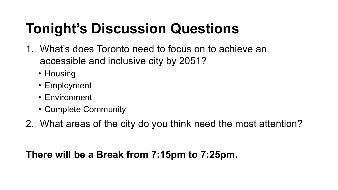#### **Tonight's Discussion Questions**

- 1. What's does Toronto need to focus on to achieve an accessible and inclusive city by 2051?
	- Housing
	- Employment
	- Environment
	- Complete Community
- 2. What areas of the city do you think need the most attention?

#### **There will be a Break from 7:15pm to 7:25pm.**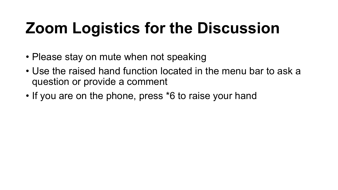## **Zoom Logistics for the Discussion**

- Please stay on mute when not speaking
- Use the raised hand function located in the menu bar to ask a question or provide a comment
- If you are on the phone, press \*6 to raise your hand